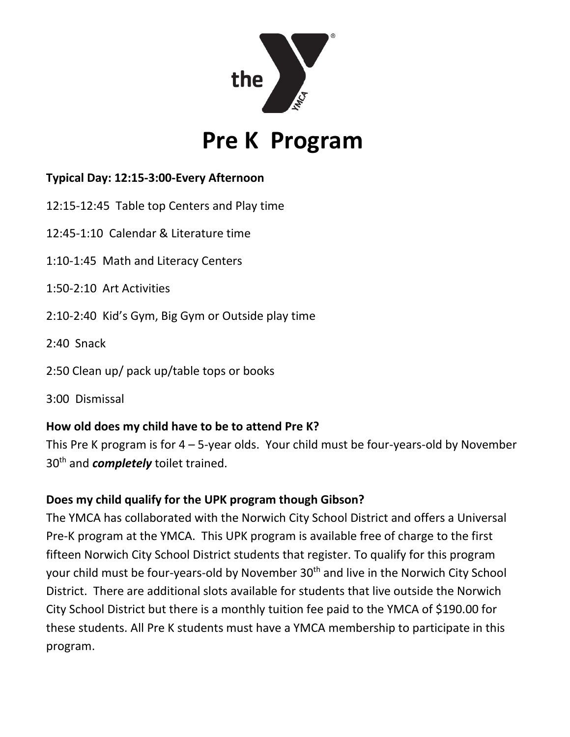

# **Pre K Program**

## **Typical Day: 12:15-3:00-Every Afternoon**

- 12:15-12:45 Table top Centers and Play time
- 12:45-1:10 Calendar & Literature time
- 1:10-1:45 Math and Literacy Centers
- 1:50-2:10 Art Activities
- 2:10-2:40 Kid's Gym, Big Gym or Outside play time
- 2:40 Snack
- 2:50 Clean up/ pack up/table tops or books
- 3:00 Dismissal

## **How old does my child have to be to attend Pre K?**

This Pre K program is for 4 – 5-year olds. Your child must be four-years-old by November 30<sup>th</sup> and *completely* toilet trained.

## **Does my child qualify for the UPK program though Gibson?**

The YMCA has collaborated with the Norwich City School District and offers a Universal Pre-K program at the YMCA. This UPK program is available free of charge to the first fifteen Norwich City School District students that register. To qualify for this program your child must be four-years-old by November 30<sup>th</sup> and live in the Norwich City School District. There are additional slots available for students that live outside the Norwich City School District but there is a monthly tuition fee paid to the YMCA of \$190.00 for these students. All Pre K students must have a YMCA membership to participate in this program.